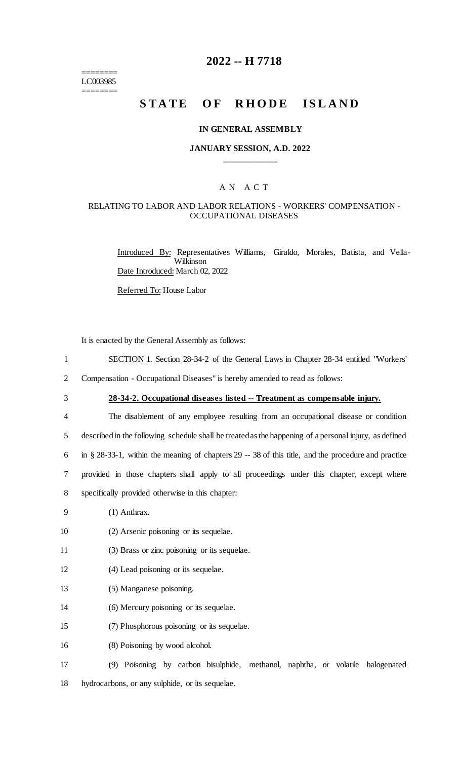======== LC003985 ========

## **2022 -- H 7718**

# **STATE OF RHODE ISLAND**

#### **IN GENERAL ASSEMBLY**

### **JANUARY SESSION, A.D. 2022 \_\_\_\_\_\_\_\_\_\_\_\_**

## A N A C T

## RELATING TO LABOR AND LABOR RELATIONS - WORKERS' COMPENSATION - OCCUPATIONAL DISEASES

Introduced By: Representatives Williams, Giraldo, Morales, Batista, and Vella-Wilkinson Date Introduced: March 02, 2022

Referred To: House Labor

It is enacted by the General Assembly as follows:

- 1 SECTION 1. Section 28-34-2 of the General Laws in Chapter 28-34 entitled "Workers'
- 2 Compensation Occupational Diseases" is hereby amended to read as follows:
- 

3 **28-34-2. Occupational diseases listed -- Treatment as compensable injury.**

 The disablement of any employee resulting from an occupational disease or condition described in the following schedule shall be treated as the happening of a personal injury, as defined in § 28-33-1, within the meaning of chapters 29 -- 38 of this title, and the procedure and practice provided in those chapters shall apply to all proceedings under this chapter, except where specifically provided otherwise in this chapter:

9 (1) Anthrax.

10 (2) Arsenic poisoning or its sequelae.

- 11 (3) Brass or zinc poisoning or its sequelae.
- 12 (4) Lead poisoning or its sequelae.
- 13 (5) Manganese poisoning.
- 14 (6) Mercury poisoning or its sequelae.
- 15 (7) Phosphorous poisoning or its sequelae.
- 16 (8) Poisoning by wood alcohol.

17 (9) Poisoning by carbon bisulphide, methanol, naphtha, or volatile halogenated 18 hydrocarbons, or any sulphide, or its sequelae.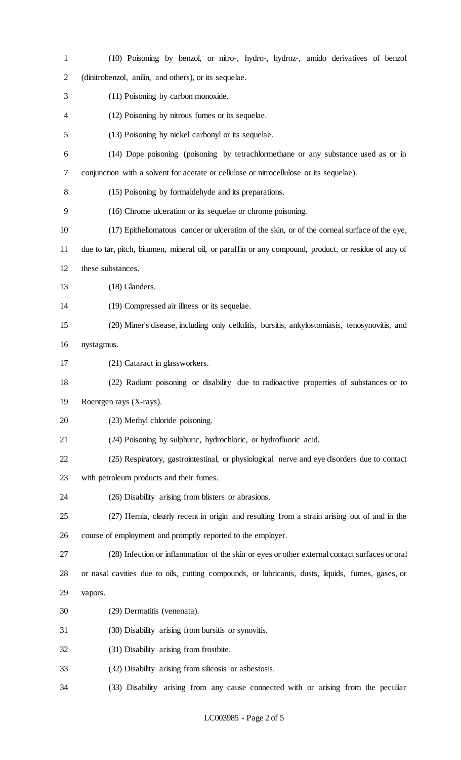| 1              | (10) Poisoning by benzol, or nitro-, hydro-, hydroz-, amido derivatives of benzol                   |
|----------------|-----------------------------------------------------------------------------------------------------|
| $\overline{2}$ | (dinitrobenzol, anilin, and others), or its sequelae.                                               |
| 3              | (11) Poisoning by carbon monoxide.                                                                  |
| 4              | (12) Poisoning by nitrous fumes or its sequelae.                                                    |
| 5              | (13) Poisoning by nickel carbonyl or its sequelae.                                                  |
| 6              | (14) Dope poisoning (poisoning by tetrachlormethane or any substance used as or in                  |
| 7              | conjunction with a solvent for acetate or cellulose or nitrocellulose or its sequelae).             |
| 8              | (15) Poisoning by formal dehyde and its preparations.                                               |
| 9              | (16) Chrome ulceration or its sequelae or chrome poisoning.                                         |
| 10             | (17) Epitheliomatous cancer or ulceration of the skin, or of the corneal surface of the eye,        |
| 11             | due to tar, pitch, bitumen, mineral oil, or paraffin or any compound, product, or residue of any of |
| 12             | these substances.                                                                                   |
| 13             | (18) Glanders.                                                                                      |
| 14             | (19) Compressed air illness or its sequelae.                                                        |
| 15             | (20) Miner's disease, including only cellulitis, bursitis, ankylostomiasis, tenosynovitis, and      |
| 16             | nystagmus.                                                                                          |
| 17             | (21) Cataract in glassworkers.                                                                      |
| 18             | (22) Radium poisoning or disability due to radioactive properties of substances or to               |
| 19             | Roentgen rays (X-rays).                                                                             |
| 20             | (23) Methyl chloride poisoning.                                                                     |
| 21             | (24) Poisoning by sulphuric, hydrochloric, or hydrofluoric acid.                                    |
| 22             | (25) Respiratory, gastrointestinal, or physiological nerve and eye disorders due to contact         |
| 23             | with petroleum products and their fumes.                                                            |
| 24             | (26) Disability arising from blisters or abrasions.                                                 |
| 25             | (27) Hernia, clearly recent in origin and resulting from a strain arising out of and in the         |
| 26             | course of employment and promptly reported to the employer.                                         |
| 27             | (28) Infection or inflammation of the skin or eyes or other external contact surfaces or oral       |
| 28             | or nasal cavities due to oils, cutting compounds, or lubricants, dusts, liquids, fumes, gases, or   |
| 29             | vapors.                                                                                             |
| 30             | (29) Dermatitis (venenata).                                                                         |
| 31             | (30) Disability arising from bursitis or synovitis.                                                 |
| 32             | (31) Disability arising from frostbite.                                                             |
| 33             | (32) Disability arising from silicosis or asbestosis.                                               |
| 34             | (33) Disability arising from any cause connected with or arising from the peculiar                  |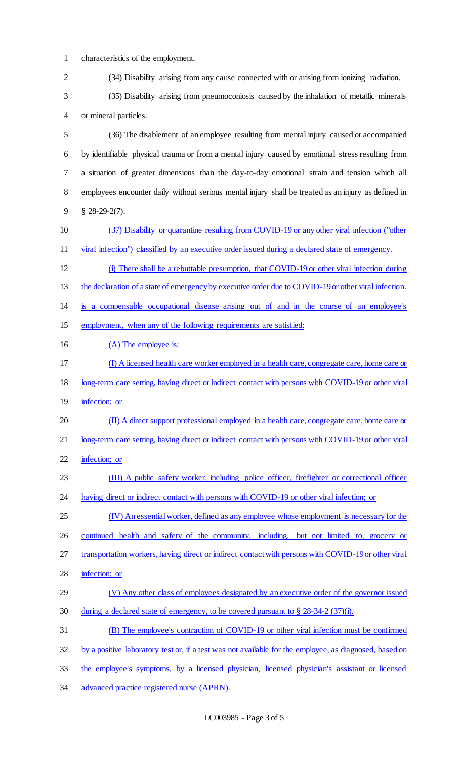$1$  characteristics of the employ-

| $\perp$        | characteristics of the employment.                                                                     |
|----------------|--------------------------------------------------------------------------------------------------------|
| $\overline{2}$ | (34) Disability arising from any cause connected with or arising from ionizing radiation.              |
| 3              | (35) Disability arising from pneumoconiosis caused by the inhalation of metallic minerals              |
| 4              | or mineral particles.                                                                                  |
| 5              | (36) The disablement of an employee resulting from mental injury caused or accompanied                 |
| 6              | by identifiable physical trauma or from a mental injury caused by emotional stress resulting from      |
| 7              | a situation of greater dimensions than the day-to-day emotional strain and tension which all           |
| 8              | employees encounter daily without serious mental injury shall be treated as an injury as defined in    |
| 9              | $$28-29-2(7).$                                                                                         |
| 10             | (37) Disability or quarantine resulting from COVID-19 or any other viral infection ("other             |
| 11             | viral infection") classified by an executive order issued during a declared state of emergency.        |
| 12             | (i) There shall be a rebuttable presumption, that COVID-19 or other viral infection during             |
| 13             | the declaration of a state of emergency by executive order due to COVID-19 or other viral infection,   |
| 14             | is a compensable occupational disease arising out of and in the course of an employee's                |
| 15             | employment, when any of the following requirements are satisfied:                                      |
| 16             | (A) The employee is:                                                                                   |
| 17             | (I) A licensed health care worker employed in a health care, congregate care, home care or             |
| 18             | long-term care setting, having direct or indirect contact with persons with COVID-19 or other viral    |
| 19             | infection; or                                                                                          |
| 20             | (II) A direct support professional employed in a health care, congregate care, home care or            |
| 21             | long-term care setting, having direct or indirect contact with persons with COVID-19 or other viral    |
| 22             | infection; or                                                                                          |
| 23             | (III) A public safety worker, including police officer, firefighter or correctional officer            |
| 24             | having direct or indirect contact with persons with COVID-19 or other viral infection; or              |
| 25             | (IV) An essential worker, defined as any employee whose employment is necessary for the                |
| 26             | continued health and safety of the community, including, but not limited to, grocery or                |
| 27             | transportation workers, having direct or indirect contact with persons with COVID-19 or other viral    |
| 28             | infection; or                                                                                          |
| 29             | (V) Any other class of employees designated by an executive order of the governor issued               |
| 30             | during a declared state of emergency, to be covered pursuant to $\S 28-34-2(37)(i)$ .                  |
| 31             | (B) The employee's contraction of COVID-19 or other viral infection must be confirmed                  |
| 32             | by a positive laboratory test or, if a test was not available for the employee, as diagnosed, based on |
|                |                                                                                                        |

- 33 the employee's symptoms, by a licensed physician, licensed physician's assistant or licensed
- 34 advanced practice registered nurse (APRN).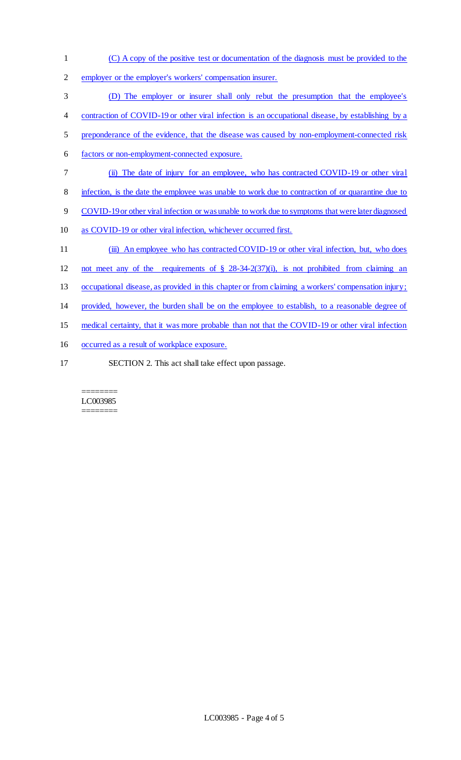- (C) A copy of the positive test or documentation of the diagnosis must be provided to the
- employer or the employer's workers' compensation insurer.
- (D) The employer or insurer shall only rebut the presumption that the employee's
- 4 contraction of COVID-19 or other viral infection is an occupational disease, by establishing by a
- preponderance of the evidence, that the disease was caused by non-employment-connected risk
- factors or non-employment-connected exposure.
- (ii) The date of injury for an employee, who has contracted COVID-19 or other viral
- infection, is the date the employee was unable to work due to contraction of or quarantine due to
- COVID-19 or other viral infection or was unable to work due to symptoms that were later diagnosed
- as COVID-19 or other viral infection, whichever occurred first.
- 11 (iii) An employee who has contracted COVID-19 or other viral infection, but, who does
- not meet any of the requirements of § 28-34-2(37)(i), is not prohibited from claiming an
- occupational disease, as provided in this chapter or from claiming a workers' compensation injury;
- provided, however, the burden shall be on the employee to establish, to a reasonable degree of
- 15 medical certainty, that it was more probable than not that the COVID-19 or other viral infection
- occurred as a result of workplace exposure.
- SECTION 2. This act shall take effect upon passage.

#### ======== LC003985 ========